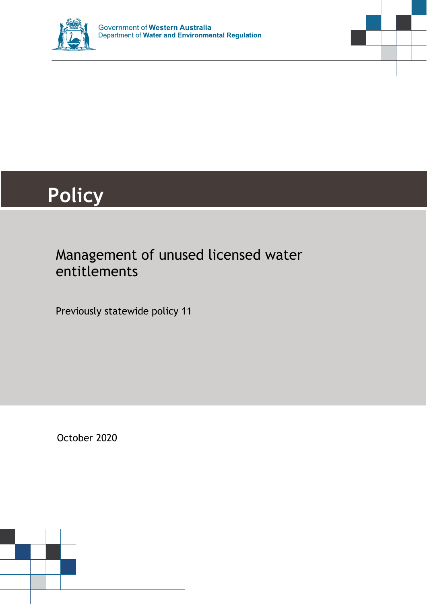



# **Policy**

### Management of unused licensed water entitlements

Previously statewide policy 11

October 2020

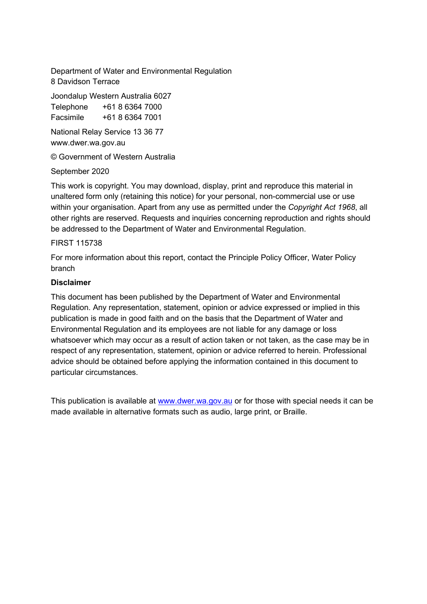Department of Water and Environmental Regulation 8 Davidson Terrace

Joondalup Western Australia 6027 Telephone +61 8 6364 7000 Facsimile +61 8 6364 7001

National Relay Service 13 36 77 www.dwer.wa.gov.au

© Government of Western Australia

#### September 2020

This work is copyright. You may download, display, print and reproduce this material in unaltered form only (retaining this notice) for your personal, non-commercial use or use within your organisation. Apart from any use as permitted under the *Copyright Act 1968*, all other rights are reserved. Requests and inquiries concerning reproduction and rights should be addressed to the Department of Water and Environmental Regulation.

#### FIRST 115738

For more information about this report, contact the Principle Policy Officer, Water Policy branch

#### **Disclaimer**

This document has been published by the Department of Water and Environmental Regulation. Any representation, statement, opinion or advice expressed or implied in this publication is made in good faith and on the basis that the Department of Water and Environmental Regulation and its employees are not liable for any damage or loss whatsoever which may occur as a result of action taken or not taken, as the case may be in respect of any representation, statement, opinion or advice referred to herein. Professional advice should be obtained before applying the information contained in this document to particular circumstances.

This publication is available at [www.dwer.wa.gov.au](http://www.dwer.wa.gov.au/) or for those with special needs it can be made available in alternative formats such as audio, large print, or Braille.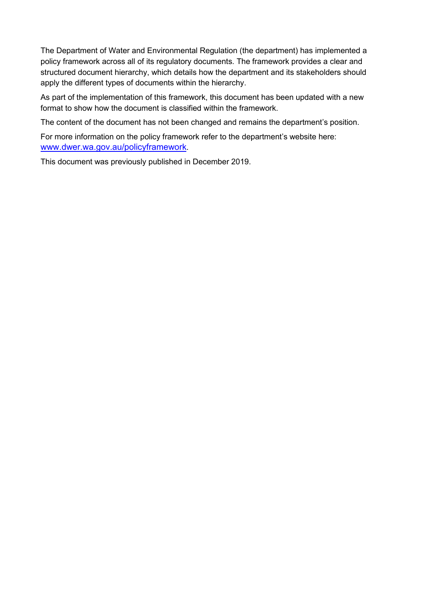The Department of Water and Environmental Regulation (the department) has implemented a policy framework across all of its regulatory documents. The framework provides a clear and structured document hierarchy, which details how the department and its stakeholders should apply the different types of documents within the hierarchy.

As part of the implementation of this framework, this document has been updated with a new format to show how the document is classified within the framework.

The content of the document has not been changed and remains the department's position.

For more information on the policy framework refer to the department's website here: [www.dwer.wa.gov.au/policyframework.](http://www.dwer.wa.gov.au/policyframework)

This document was previously published in December 2019.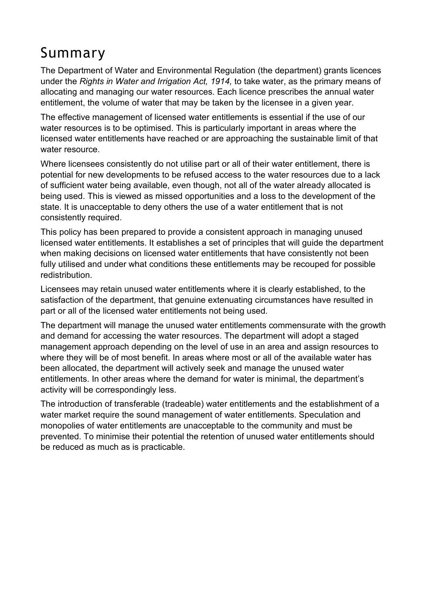## <span id="page-3-0"></span>Summary

The Department of Water and Environmental Regulation (the department) grants licences under the *Rights in Water and Irrigation Act, 1914,* to take water, as the primary means of allocating and managing our water resources. Each licence prescribes the annual water entitlement, the volume of water that may be taken by the licensee in a given year.

The effective management of licensed water entitlements is essential if the use of our water resources is to be optimised. This is particularly important in areas where the licensed water entitlements have reached or are approaching the sustainable limit of that water resource.

Where licensees consistently do not utilise part or all of their water entitlement, there is potential for new developments to be refused access to the water resources due to a lack of sufficient water being available, even though, not all of the water already allocated is being used. This is viewed as missed opportunities and a loss to the development of the state. It is unacceptable to deny others the use of a water entitlement that is not consistently required.

This policy has been prepared to provide a consistent approach in managing unused licensed water entitlements. It establishes a set of principles that will guide the department when making decisions on licensed water entitlements that have consistently not been fully utilised and under what conditions these entitlements may be recouped for possible redistribution.

Licensees may retain unused water entitlements where it is clearly established, to the satisfaction of the department, that genuine extenuating circumstances have resulted in part or all of the licensed water entitlements not being used.

The department will manage the unused water entitlements commensurate with the growth and demand for accessing the water resources. The department will adopt a staged management approach depending on the level of use in an area and assign resources to where they will be of most benefit. In areas where most or all of the available water has been allocated, the department will actively seek and manage the unused water entitlements. In other areas where the demand for water is minimal, the department's activity will be correspondingly less.

The introduction of transferable (tradeable) water entitlements and the establishment of a water market require the sound management of water entitlements. Speculation and monopolies of water entitlements are unacceptable to the community and must be prevented. To minimise their potential the retention of unused water entitlements should be reduced as much as is practicable.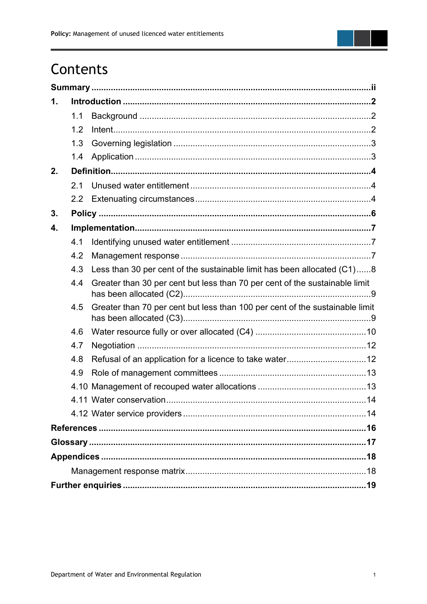

| 1. |     |                                                                              |  |  |  |
|----|-----|------------------------------------------------------------------------------|--|--|--|
|    | 1.1 |                                                                              |  |  |  |
|    | 1.2 |                                                                              |  |  |  |
|    | 1.3 |                                                                              |  |  |  |
|    | 1.4 |                                                                              |  |  |  |
| 2. |     |                                                                              |  |  |  |
|    | 2.1 |                                                                              |  |  |  |
|    |     |                                                                              |  |  |  |
| 3. |     |                                                                              |  |  |  |
| 4. |     |                                                                              |  |  |  |
|    | 4.1 |                                                                              |  |  |  |
|    | 4.2 |                                                                              |  |  |  |
|    | 4.3 | Less than 30 per cent of the sustainable limit has been allocated (C1)8      |  |  |  |
|    | 4.4 | Greater than 30 per cent but less than 70 per cent of the sustainable limit  |  |  |  |
|    | 4.5 | Greater than 70 per cent but less than 100 per cent of the sustainable limit |  |  |  |
|    | 4.6 |                                                                              |  |  |  |
|    | 4.7 |                                                                              |  |  |  |
|    | 4.8 |                                                                              |  |  |  |
|    | 4.9 |                                                                              |  |  |  |
|    |     |                                                                              |  |  |  |
|    |     |                                                                              |  |  |  |
|    |     |                                                                              |  |  |  |
|    |     |                                                                              |  |  |  |
|    |     |                                                                              |  |  |  |
|    |     |                                                                              |  |  |  |
|    |     |                                                                              |  |  |  |
|    |     |                                                                              |  |  |  |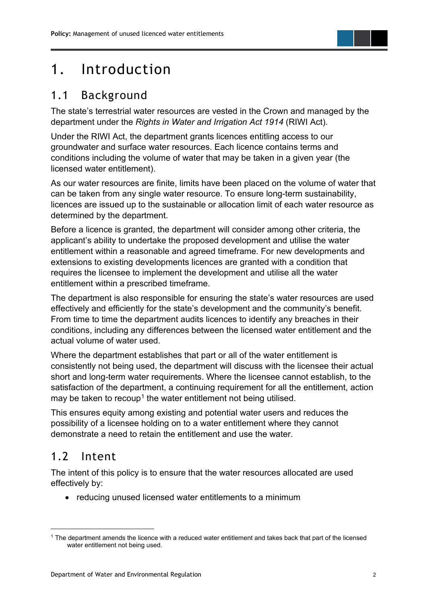### <span id="page-5-0"></span>1. Introduction

#### <span id="page-5-1"></span>1.1 Background

The state's terrestrial water resources are vested in the Crown and managed by the department under the *Rights in Water and Irrigation Act 1914* (RIWI Act).

Under the RIWI Act, the department grants licences entitling access to our groundwater and surface water resources. Each licence contains terms and conditions including the volume of water that may be taken in a given year (the licensed water entitlement).

As our water resources are finite, limits have been placed on the volume of water that can be taken from any single water resource. To ensure long-term sustainability, licences are issued up to the sustainable or allocation limit of each water resource as determined by the department.

Before a licence is granted, the department will consider among other criteria, the applicant's ability to undertake the proposed development and utilise the water entitlement within a reasonable and agreed timeframe. For new developments and extensions to existing developments licences are granted with a condition that requires the licensee to implement the development and utilise all the water entitlement within a prescribed timeframe.

The department is also responsible for ensuring the state's water resources are used effectively and efficiently for the state's development and the community's benefit. From time to time the department audits licences to identify any breaches in their conditions, including any differences between the licensed water entitlement and the actual volume of water used.

Where the department establishes that part or all of the water entitlement is consistently not being used, the department will discuss with the licensee their actual short and long-term water requirements. Where the licensee cannot establish, to the satisfaction of the department, a continuing requirement for all the entitlement, action may be taken to recoup<sup>[1](#page-5-3)</sup> the water entitlement not being utilised.

This ensures equity among existing and potential water users and reduces the possibility of a licensee holding on to a water entitlement where they cannot demonstrate a need to retain the entitlement and use the water.

### <span id="page-5-2"></span>1.2 Intent

The intent of this policy is to ensure that the water resources allocated are used effectively by:

• reducing unused licensed water entitlements to a minimum

<span id="page-5-3"></span><sup>1</sup> The department amends the licence with a reduced water entitlement and takes back that part of the licensed water entitlement not being used.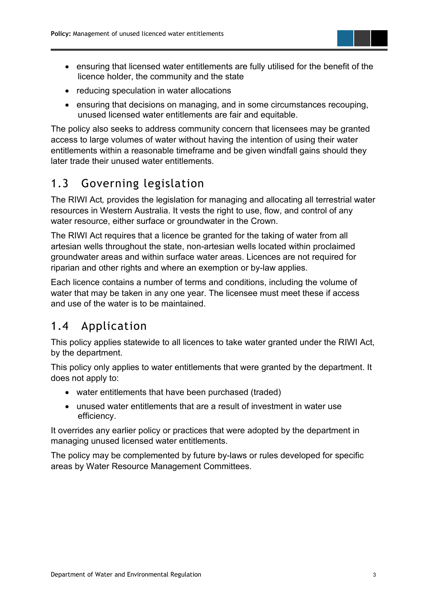- ensuring that licensed water entitlements are fully utilised for the benefit of the licence holder, the community and the state
- reducing speculation in water allocations
- ensuring that decisions on managing, and in some circumstances recouping, unused licensed water entitlements are fair and equitable.

The policy also seeks to address community concern that licensees may be granted access to large volumes of water without having the intention of using their water entitlements within a reasonable timeframe and be given windfall gains should they later trade their unused water entitlements.

#### <span id="page-6-0"></span>1.3 Governing legislation

The RIWI Act*,* provides the legislation for managing and allocating all terrestrial water resources in Western Australia. It vests the right to use, flow, and control of any water resource, either surface or groundwater in the Crown.

The RIWI Act requires that a licence be granted for the taking of water from all artesian wells throughout the state, non-artesian wells located within proclaimed groundwater areas and within surface water areas. Licences are not required for riparian and other rights and where an exemption or by-law applies.

Each licence contains a number of terms and conditions, including the volume of water that may be taken in any one year. The licensee must meet these if access and use of the water is to be maintained.

#### <span id="page-6-1"></span>1.4 Application

This policy applies statewide to all licences to take water granted under the RIWI Act, by the department.

This policy only applies to water entitlements that were granted by the department. It does not apply to:

- water entitlements that have been purchased (traded)
- unused water entitlements that are a result of investment in water use efficiency.

It overrides any earlier policy or practices that were adopted by the department in managing unused licensed water entitlements.

The policy may be complemented by future by-laws or rules developed for specific areas by Water Resource Management Committees.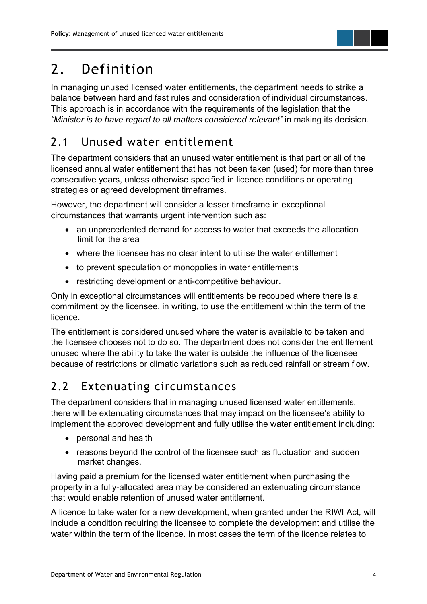## <span id="page-7-0"></span>2. Definition

In managing unused licensed water entitlements, the department needs to strike a balance between hard and fast rules and consideration of individual circumstances. This approach is in accordance with the requirements of the legislation that the *"Minister is to have regard to all matters considered relevant"* in making its decision.

### <span id="page-7-1"></span>2.1 Unused water entitlement

The department considers that an unused water entitlement is that part or all of the licensed annual water entitlement that has not been taken (used) for more than three consecutive years, unless otherwise specified in licence conditions or operating strategies or agreed development timeframes.

However, the department will consider a lesser timeframe in exceptional circumstances that warrants urgent intervention such as:

- an unprecedented demand for access to water that exceeds the allocation limit for the area
- where the licensee has no clear intent to utilise the water entitlement
- to prevent speculation or monopolies in water entitlements
- restricting development or anti-competitive behaviour.

Only in exceptional circumstances will entitlements be recouped where there is a commitment by the licensee, in writing, to use the entitlement within the term of the licence.

The entitlement is considered unused where the water is available to be taken and the licensee chooses not to do so. The department does not consider the entitlement unused where the ability to take the water is outside the influence of the licensee because of restrictions or climatic variations such as reduced rainfall or stream flow.

### <span id="page-7-2"></span>2.2 Extenuating circumstances

The department considers that in managing unused licensed water entitlements, there will be extenuating circumstances that may impact on the licensee's ability to implement the approved development and fully utilise the water entitlement including:

- personal and health
- reasons beyond the control of the licensee such as fluctuation and sudden market changes.

Having paid a premium for the licensed water entitlement when purchasing the property in a fully-allocated area may be considered an extenuating circumstance that would enable retention of unused water entitlement.

A licence to take water for a new development, when granted under the RIWI Act*,* will include a condition requiring the licensee to complete the development and utilise the water within the term of the licence. In most cases the term of the licence relates to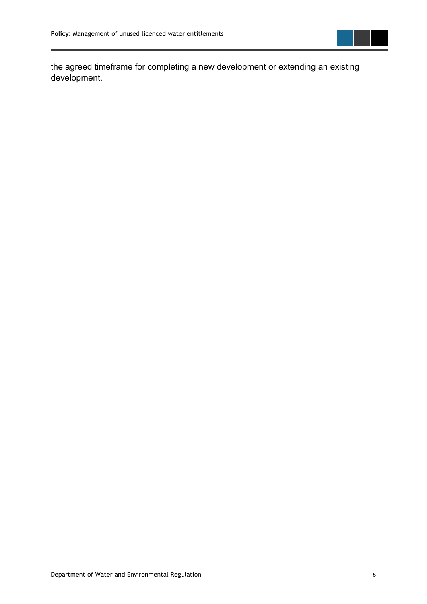

the agreed timeframe for completing a new development or extending an existing development.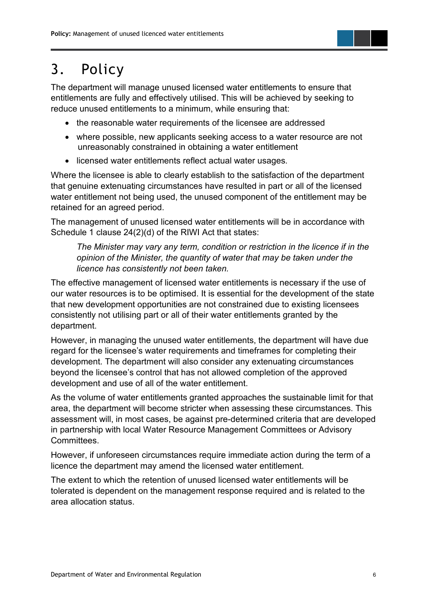### <span id="page-9-0"></span>3. Policy

The department will manage unused licensed water entitlements to ensure that entitlements are fully and effectively utilised. This will be achieved by seeking to reduce unused entitlements to a minimum, while ensuring that:

- the reasonable water requirements of the licensee are addressed
- where possible, new applicants seeking access to a water resource are not unreasonably constrained in obtaining a water entitlement
- licensed water entitlements reflect actual water usages.

Where the licensee is able to clearly establish to the satisfaction of the department that genuine extenuating circumstances have resulted in part or all of the licensed water entitlement not being used, the unused component of the entitlement may be retained for an agreed period.

The management of unused licensed water entitlements will be in accordance with Schedule 1 clause 24(2)(d) of the RIWI Act that states:

*The Minister may vary any term, condition or restriction in the licence if in the opinion of the Minister, the quantity of water that may be taken under the licence has consistently not been taken.*

The effective management of licensed water entitlements is necessary if the use of our water resources is to be optimised. It is essential for the development of the state that new development opportunities are not constrained due to existing licensees consistently not utilising part or all of their water entitlements granted by the department.

However, in managing the unused water entitlements, the department will have due regard for the licensee's water requirements and timeframes for completing their development. The department will also consider any extenuating circumstances beyond the licensee's control that has not allowed completion of the approved development and use of all of the water entitlement.

As the volume of water entitlements granted approaches the sustainable limit for that area, the department will become stricter when assessing these circumstances. This assessment will, in most cases, be against pre-determined criteria that are developed in partnership with local Water Resource Management Committees or Advisory Committees.

However, if unforeseen circumstances require immediate action during the term of a licence the department may amend the licensed water entitlement.

The extent to which the retention of unused licensed water entitlements will be tolerated is dependent on the management response required and is related to the area allocation status.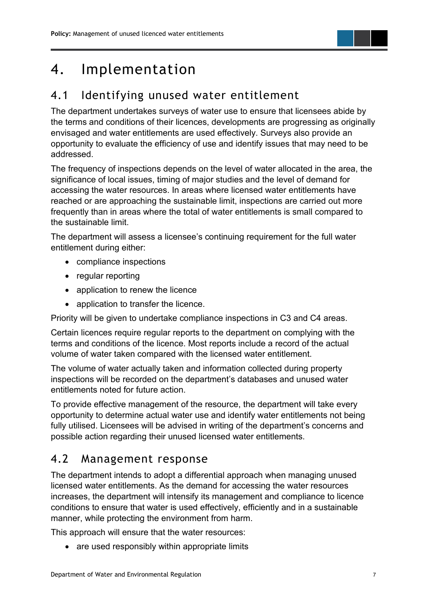### <span id="page-10-0"></span>4. Implementation

#### <span id="page-10-1"></span>4.1 Identifying unused water entitlement

The department undertakes surveys of water use to ensure that licensees abide by the terms and conditions of their licences, developments are progressing as originally envisaged and water entitlements are used effectively. Surveys also provide an opportunity to evaluate the efficiency of use and identify issues that may need to be addressed.

The frequency of inspections depends on the level of water allocated in the area, the significance of local issues, timing of major studies and the level of demand for accessing the water resources. In areas where licensed water entitlements have reached or are approaching the sustainable limit, inspections are carried out more frequently than in areas where the total of water entitlements is small compared to the sustainable limit.

The department will assess a licensee's continuing requirement for the full water entitlement during either:

- compliance inspections
- regular reporting
- application to renew the licence
- application to transfer the licence.

Priority will be given to undertake compliance inspections in C3 and C4 areas.

Certain licences require regular reports to the department on complying with the terms and conditions of the licence. Most reports include a record of the actual volume of water taken compared with the licensed water entitlement.

The volume of water actually taken and information collected during property inspections will be recorded on the department's databases and unused water entitlements noted for future action.

To provide effective management of the resource, the department will take every opportunity to determine actual water use and identify water entitlements not being fully utilised. Licensees will be advised in writing of the department's concerns and possible action regarding their unused licensed water entitlements.

#### <span id="page-10-2"></span>4.2 Management response

The department intends to adopt a differential approach when managing unused licensed water entitlements. As the demand for accessing the water resources increases, the department will intensify its management and compliance to licence conditions to ensure that water is used effectively, efficiently and in a sustainable manner, while protecting the environment from harm.

This approach will ensure that the water resources:

• are used responsibly within appropriate limits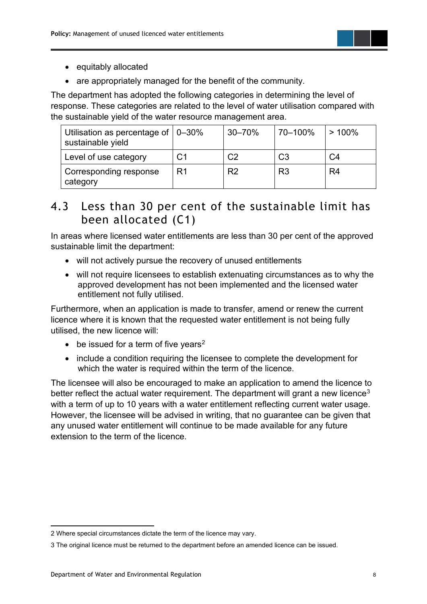

- equitably allocated
- are appropriately managed for the benefit of the community.

The department has adopted the following categories in determining the level of response. These categories are related to the level of water utilisation compared with the sustainable yield of the water resource management area.

| Utilisation as percentage of $\vert$ 0-30%<br>sustainable yield |                | $30 - 70%$     | 70-100%        | >100%          |
|-----------------------------------------------------------------|----------------|----------------|----------------|----------------|
| Level of use category                                           | C <sub>1</sub> | C <sub>2</sub> | C <sub>3</sub> | C <sub>4</sub> |
| Corresponding response<br>category                              | R <sub>1</sub> | R <sub>2</sub> | R <sub>3</sub> | R4             |

#### <span id="page-11-0"></span>4.3 Less than 30 per cent of the sustainable limit has been allocated (C1)

In areas where licensed water entitlements are less than 30 per cent of the approved sustainable limit the department:

- will not actively pursue the recovery of unused entitlements
- will not require licensees to establish extenuating circumstances as to why the approved development has not been implemented and the licensed water entitlement not fully utilised.

Furthermore, when an application is made to transfer, amend or renew the current licence where it is known that the requested water entitlement is not being fully utilised, the new licence will:

- $\bullet$  be issued for a term of five years<sup>[2](#page-11-1)</sup>
- include a condition requiring the licensee to complete the development for which the water is required within the term of the licence.

The licensee will also be encouraged to make an application to amend the licence to better reflect the actual water requirement. The department will grant a new licence<sup>[3](#page-11-2)</sup> with a term of up to 10 years with a water entitlement reflecting current water usage. However, the licensee will be advised in writing, that no guarantee can be given that any unused water entitlement will continue to be made available for any future extension to the term of the licence.

<span id="page-11-1"></span><sup>2</sup> Where special circumstances dictate the term of the licence may vary.

<span id="page-11-2"></span><sup>3</sup> The original licence must be returned to the department before an amended licence can be issued.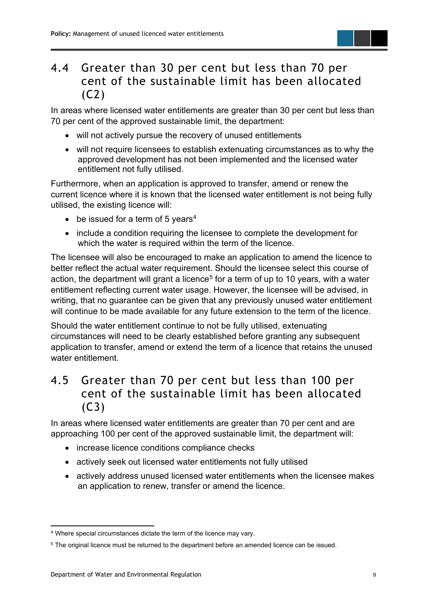#### <span id="page-12-0"></span>4.4 Greater than 30 per cent but less than 70 per cent of the sustainable limit has been allocated (C2)

In areas where licensed water entitlements are greater than 30 per cent but less than 70 per cent of the approved sustainable limit, the department:

- will not actively pursue the recovery of unused entitlements
- will not require licensees to establish extenuating circumstances as to why the approved development has not been implemented and the licensed water entitlement not fully utilised.

Furthermore, when an application is approved to transfer, amend or renew the current licence where it is known that the licensed water entitlement is not being fully utilised, the existing licence will:

- $\bullet$  be issued for a term of 5 years<sup>[4](#page-12-2)</sup>
- include a condition requiring the licensee to complete the development for which the water is required within the term of the licence.

The licensee will also be encouraged to make an application to amend the licence to better reflect the actual water requirement. Should the licensee select this course of action, the department will grant a licence<sup>[5](#page-12-3)</sup> for a term of up to 10 years, with a water entitlement reflecting current water usage. However, the licensee will be advised, in writing, that no guarantee can be given that any previously unused water entitlement will continue to be made available for any future extension to the term of the licence.

Should the water entitlement continue to not be fully utilised, extenuating circumstances will need to be clearly established before granting any subsequent application to transfer, amend or extend the term of a licence that retains the unused water entitlement.

#### <span id="page-12-1"></span>4.5 Greater than 70 per cent but less than 100 per cent of the sustainable limit has been allocated (C3)

In areas where licensed water entitlements are greater than 70 per cent and are approaching 100 per cent of the approved sustainable limit, the department will:

- increase licence conditions compliance checks
- actively seek out licensed water entitlements not fully utilised
- actively address unused licensed water entitlements when the licensee makes an application to renew, transfer or amend the licence.

<span id="page-12-2"></span><sup>4</sup> Where special circumstances dictate the term of the licence may vary.

<span id="page-12-3"></span><sup>5</sup> The original licence must be returned to the department before an amended licence can be issued.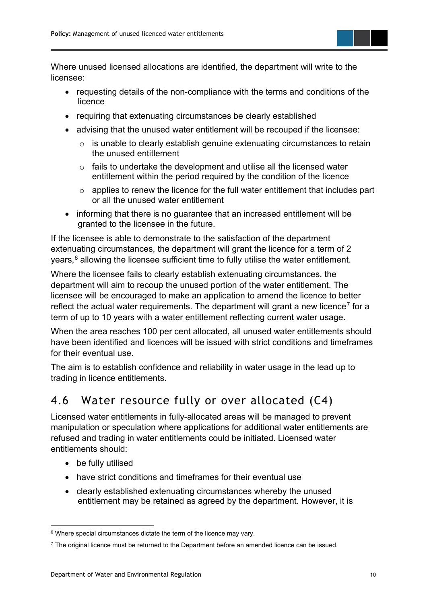

Where unused licensed allocations are identified, the department will write to the licensee:

- requesting details of the non-compliance with the terms and conditions of the licence
- requiring that extenuating circumstances be clearly established
- advising that the unused water entitlement will be recouped if the licensee:
	- o is unable to clearly establish genuine extenuating circumstances to retain the unused entitlement
	- $\circ$  fails to undertake the development and utilise all the licensed water entitlement within the period required by the condition of the licence
	- $\circ$  applies to renew the licence for the full water entitlement that includes part or all the unused water entitlement
- informing that there is no guarantee that an increased entitlement will be granted to the licensee in the future.

If the licensee is able to demonstrate to the satisfaction of the department extenuating circumstances, the department will grant the licence for a term of 2 years, $^6$  $^6$  allowing the licensee sufficient time to fully utilise the water entitlement.

Where the licensee fails to clearly establish extenuating circumstances, the department will aim to recoup the unused portion of the water entitlement. The licensee will be encouraged to make an application to amend the licence to better reflect the actual water requirements. The department will grant a new licence<sup>[7](#page-13-2)</sup> for a term of up to 10 years with a water entitlement reflecting current water usage.

When the area reaches 100 per cent allocated, all unused water entitlements should have been identified and licences will be issued with strict conditions and timeframes for their eventual use.

The aim is to establish confidence and reliability in water usage in the lead up to trading in licence entitlements.

#### <span id="page-13-0"></span>4.6 Water resource fully or over allocated (C4)

Licensed water entitlements in fully-allocated areas will be managed to prevent manipulation or speculation where applications for additional water entitlements are refused and trading in water entitlements could be initiated. Licensed water entitlements should:

- be fully utilised
- have strict conditions and timeframes for their eventual use
- clearly established extenuating circumstances whereby the unused entitlement may be retained as agreed by the department. However, it is

<span id="page-13-1"></span> $6$  Where special circumstances dictate the term of the licence may vary.

<span id="page-13-2"></span> $7$  The original licence must be returned to the Department before an amended licence can be issued.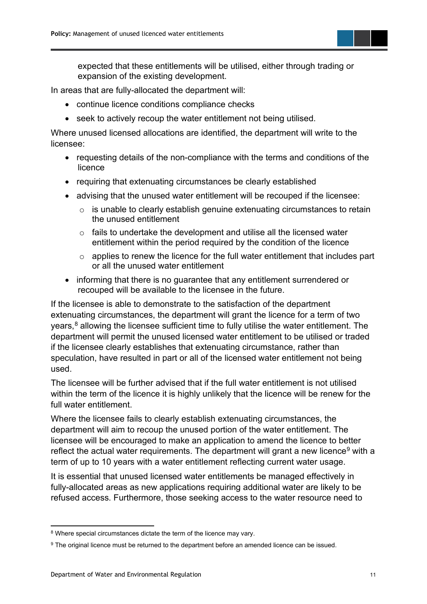expected that these entitlements will be utilised, either through trading or expansion of the existing development.

In areas that are fully-allocated the department will:

- continue licence conditions compliance checks
- seek to actively recoup the water entitlement not being utilised.

Where unused licensed allocations are identified, the department will write to the licensee:

- requesting details of the non-compliance with the terms and conditions of the licence
- requiring that extenuating circumstances be clearly established
- advising that the unused water entitlement will be recouped if the licensee:
	- o is unable to clearly establish genuine extenuating circumstances to retain the unused entitlement
	- $\circ$  fails to undertake the development and utilise all the licensed water entitlement within the period required by the condition of the licence
	- $\circ$  applies to renew the licence for the full water entitlement that includes part or all the unused water entitlement
- informing that there is no guarantee that any entitlement surrendered or recouped will be available to the licensee in the future.

If the licensee is able to demonstrate to the satisfaction of the department extenuating circumstances, the department will grant the licence for a term of two years, [8](#page-14-0) allowing the licensee sufficient time to fully utilise the water entitlement. The department will permit the unused licensed water entitlement to be utilised or traded if the licensee clearly establishes that extenuating circumstance, rather than speculation, have resulted in part or all of the licensed water entitlement not being used.

The licensee will be further advised that if the full water entitlement is not utilised within the term of the licence it is highly unlikely that the licence will be renew for the full water entitlement.

Where the licensee fails to clearly establish extenuating circumstances, the department will aim to recoup the unused portion of the water entitlement. The licensee will be encouraged to make an application to amend the licence to better reflect the actual water requirements. The department will grant a new licence<sup>[9](#page-14-1)</sup> with a term of up to 10 years with a water entitlement reflecting current water usage.

It is essential that unused licensed water entitlements be managed effectively in fully-allocated areas as new applications requiring additional water are likely to be refused access. Furthermore, those seeking access to the water resource need to

<span id="page-14-0"></span><sup>&</sup>lt;sup>8</sup> Where special circumstances dictate the term of the licence may vary.

<span id="page-14-1"></span><sup>&</sup>lt;sup>9</sup> The original licence must be returned to the department before an amended licence can be issued.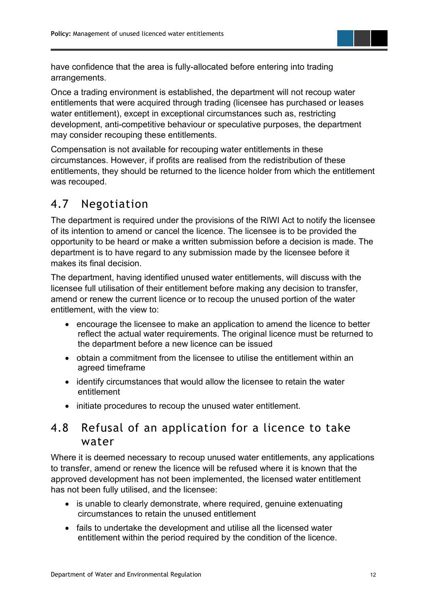

have confidence that the area is fully-allocated before entering into trading arrangements.

Once a trading environment is established, the department will not recoup water entitlements that were acquired through trading (licensee has purchased or leases water entitlement), except in exceptional circumstances such as, restricting development, anti-competitive behaviour or speculative purposes, the department may consider recouping these entitlements.

Compensation is not available for recouping water entitlements in these circumstances. However, if profits are realised from the redistribution of these entitlements, they should be returned to the licence holder from which the entitlement was recouped.

#### <span id="page-15-0"></span>4.7 Negotiation

The department is required under the provisions of the RIWI Act to notify the licensee of its intention to amend or cancel the licence. The licensee is to be provided the opportunity to be heard or make a written submission before a decision is made. The department is to have regard to any submission made by the licensee before it makes its final decision.

The department, having identified unused water entitlements, will discuss with the licensee full utilisation of their entitlement before making any decision to transfer, amend or renew the current licence or to recoup the unused portion of the water entitlement, with the view to:

- encourage the licensee to make an application to amend the licence to better reflect the actual water requirements. The original licence must be returned to the department before a new licence can be issued
- obtain a commitment from the licensee to utilise the entitlement within an agreed timeframe
- identify circumstances that would allow the licensee to retain the water entitlement
- initiate procedures to recoup the unused water entitlement.

#### <span id="page-15-1"></span>4.8 Refusal of an application for a licence to take water

Where it is deemed necessary to recoup unused water entitlements, any applications to transfer, amend or renew the licence will be refused where it is known that the approved development has not been implemented, the licensed water entitlement has not been fully utilised, and the licensee:

- is unable to clearly demonstrate, where required, genuine extenuating circumstances to retain the unused entitlement
- fails to undertake the development and utilise all the licensed water entitlement within the period required by the condition of the licence.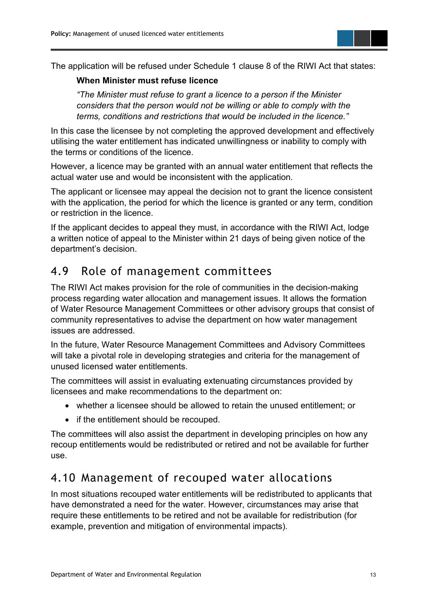The application will be refused under Schedule 1 clause 8 of the RIWI Act that states:

#### **When Minister must refuse licence**

*"The Minister must refuse to grant a licence to a person if the Minister considers that the person would not be willing or able to comply with the terms, conditions and restrictions that would be included in the licence."*

In this case the licensee by not completing the approved development and effectively utilising the water entitlement has indicated unwillingness or inability to comply with the terms or conditions of the licence.

However, a licence may be granted with an annual water entitlement that reflects the actual water use and would be inconsistent with the application.

The applicant or licensee may appeal the decision not to grant the licence consistent with the application, the period for which the licence is granted or any term, condition or restriction in the licence.

If the applicant decides to appeal they must, in accordance with the RIWI Act, lodge a written notice of appeal to the Minister within 21 days of being given notice of the department's decision.

#### <span id="page-16-0"></span>4.9 Role of management committees

The RIWI Act makes provision for the role of communities in the decision-making process regarding water allocation and management issues. It allows the formation of Water Resource Management Committees or other advisory groups that consist of community representatives to advise the department on how water management issues are addressed.

In the future, Water Resource Management Committees and Advisory Committees will take a pivotal role in developing strategies and criteria for the management of unused licensed water entitlements.

The committees will assist in evaluating extenuating circumstances provided by licensees and make recommendations to the department on:

- whether a licensee should be allowed to retain the unused entitlement; or
- if the entitlement should be recouped.

The committees will also assist the department in developing principles on how any recoup entitlements would be redistributed or retired and not be available for further use.

#### <span id="page-16-1"></span>4.10 Management of recouped water allocations

In most situations recouped water entitlements will be redistributed to applicants that have demonstrated a need for the water. However, circumstances may arise that require these entitlements to be retired and not be available for redistribution (for example, prevention and mitigation of environmental impacts).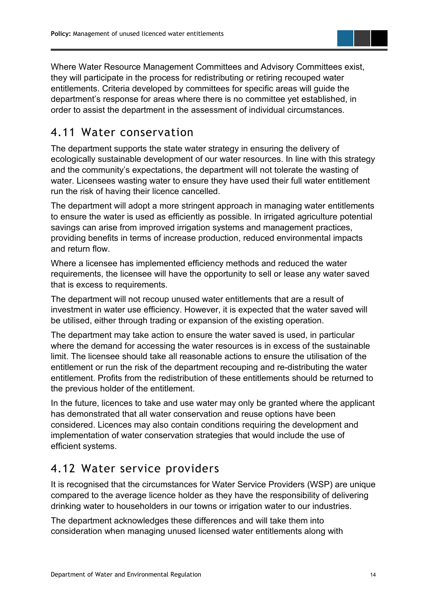Where Water Resource Management Committees and Advisory Committees exist, they will participate in the process for redistributing or retiring recouped water entitlements. Criteria developed by committees for specific areas will guide the department's response for areas where there is no committee yet established, in order to assist the department in the assessment of individual circumstances.

#### <span id="page-17-0"></span>4.11 Water conservation

The department supports the state water strategy in ensuring the delivery of ecologically sustainable development of our water resources. In line with this strategy and the community's expectations, the department will not tolerate the wasting of water. Licensees wasting water to ensure they have used their full water entitlement run the risk of having their licence cancelled.

The department will adopt a more stringent approach in managing water entitlements to ensure the water is used as efficiently as possible. In irrigated agriculture potential savings can arise from improved irrigation systems and management practices, providing benefits in terms of increase production, reduced environmental impacts and return flow.

Where a licensee has implemented efficiency methods and reduced the water requirements, the licensee will have the opportunity to sell or lease any water saved that is excess to requirements.

The department will not recoup unused water entitlements that are a result of investment in water use efficiency. However, it is expected that the water saved will be utilised, either through trading or expansion of the existing operation.

The department may take action to ensure the water saved is used, in particular where the demand for accessing the water resources is in excess of the sustainable limit. The licensee should take all reasonable actions to ensure the utilisation of the entitlement or run the risk of the department recouping and re-distributing the water entitlement. Profits from the redistribution of these entitlements should be returned to the previous holder of the entitlement.

In the future, licences to take and use water may only be granted where the applicant has demonstrated that all water conservation and reuse options have been considered. Licences may also contain conditions requiring the development and implementation of water conservation strategies that would include the use of efficient systems.

#### <span id="page-17-1"></span>4.12 Water service providers

It is recognised that the circumstances for Water Service Providers (WSP) are unique compared to the average licence holder as they have the responsibility of delivering drinking water to householders in our towns or irrigation water to our industries.

The department acknowledges these differences and will take them into consideration when managing unused licensed water entitlements along with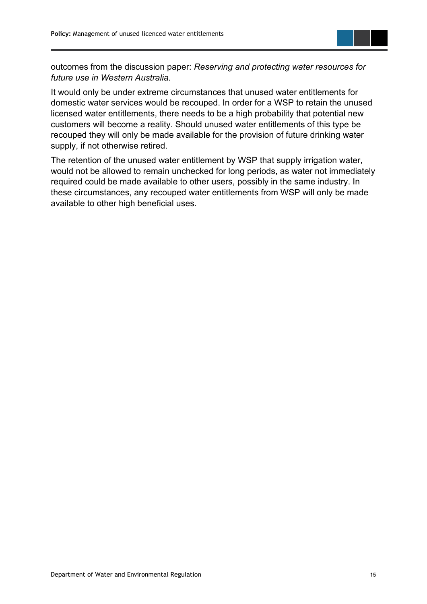

outcomes from the discussion paper: *Reserving and protecting water resources for future use in Western Australia.*

It would only be under extreme circumstances that unused water entitlements for domestic water services would be recouped. In order for a WSP to retain the unused licensed water entitlements, there needs to be a high probability that potential new customers will become a reality. Should unused water entitlements of this type be recouped they will only be made available for the provision of future drinking water supply, if not otherwise retired.

The retention of the unused water entitlement by WSP that supply irrigation water, would not be allowed to remain unchecked for long periods, as water not immediately required could be made available to other users, possibly in the same industry. In these circumstances, any recouped water entitlements from WSP will only be made available to other high beneficial uses.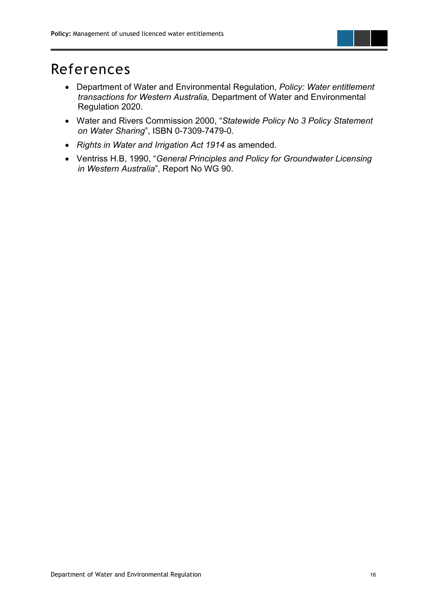<span id="page-19-0"></span>

- Department of Water and Environmental Regulation, *Policy: Water entitlement transactions for Western Australia,* Department of Water and Environmental Regulation 2020.
- Water and Rivers Commission 2000, "*Statewide Policy No 3 Policy Statement on Water Sharing*", ISBN 0-7309-7479-0.
- *Rights in Water and Irrigation Act 1914* as amended.
- Ventriss H.B, 1990, "*General Principles and Policy for Groundwater Licensing in Western Australia*", Report No WG 90.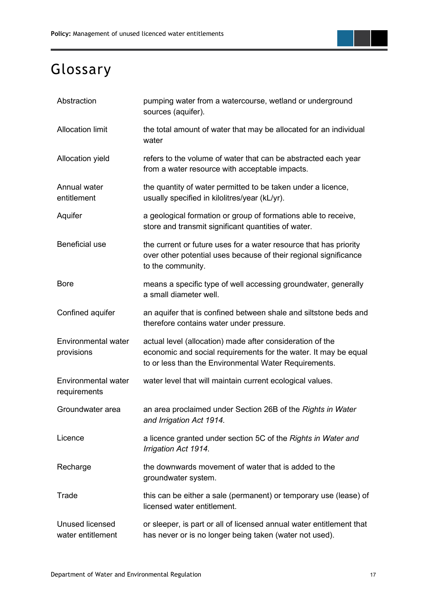

## <span id="page-20-0"></span>Glossary

| Abstraction                                 | pumping water from a watercourse, wetland or underground<br>sources (aquifer).                                                                                                        |  |  |
|---------------------------------------------|---------------------------------------------------------------------------------------------------------------------------------------------------------------------------------------|--|--|
| <b>Allocation limit</b>                     | the total amount of water that may be allocated for an individual<br>water                                                                                                            |  |  |
| Allocation yield                            | refers to the volume of water that can be abstracted each year<br>from a water resource with acceptable impacts.                                                                      |  |  |
| Annual water<br>entitlement                 | the quantity of water permitted to be taken under a licence,<br>usually specified in kilolitres/year (kL/yr).                                                                         |  |  |
| Aquifer                                     | a geological formation or group of formations able to receive,<br>store and transmit significant quantities of water.                                                                 |  |  |
| Beneficial use                              | the current or future uses for a water resource that has priority<br>over other potential uses because of their regional significance<br>to the community.                            |  |  |
| <b>Bore</b>                                 | means a specific type of well accessing groundwater, generally<br>a small diameter well.                                                                                              |  |  |
| Confined aquifer                            | an aquifer that is confined between shale and siltstone beds and<br>therefore contains water under pressure.                                                                          |  |  |
| Environmental water<br>provisions           | actual level (allocation) made after consideration of the<br>economic and social requirements for the water. It may be equal<br>to or less than the Environmental Water Requirements. |  |  |
| <b>Environmental water</b><br>requirements  | water level that will maintain current ecological values.                                                                                                                             |  |  |
| Groundwater area                            | an area proclaimed under Section 26B of the Rights in Water<br>and Irrigation Act 1914.                                                                                               |  |  |
| Licence                                     | a licence granted under section 5C of the Rights in Water and<br>Irrigation Act 1914.                                                                                                 |  |  |
| Recharge                                    | the downwards movement of water that is added to the<br>groundwater system.                                                                                                           |  |  |
| Trade                                       | this can be either a sale (permanent) or temporary use (lease) of<br>licensed water entitlement.                                                                                      |  |  |
| <b>Unused licensed</b><br>water entitlement | or sleeper, is part or all of licensed annual water entitlement that<br>has never or is no longer being taken (water not used).                                                       |  |  |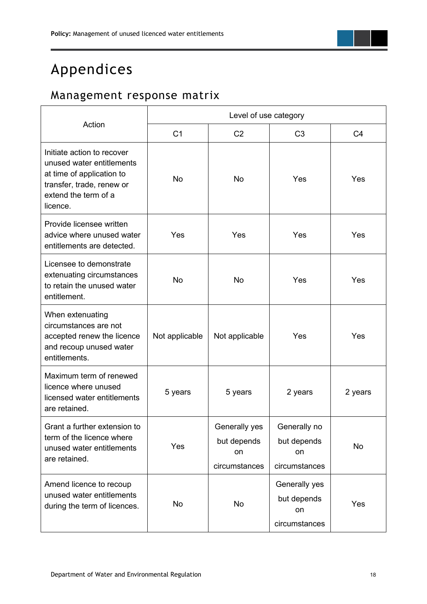## <span id="page-21-0"></span>Appendices

### <span id="page-21-1"></span>Management response matrix

|                                                                                                                                                       | Level of use category |                                                     |                                                     |                |  |
|-------------------------------------------------------------------------------------------------------------------------------------------------------|-----------------------|-----------------------------------------------------|-----------------------------------------------------|----------------|--|
| Action                                                                                                                                                | C <sub>1</sub>        | C <sub>2</sub>                                      | C <sub>3</sub>                                      | C <sub>4</sub> |  |
| Initiate action to recover<br>unused water entitlements<br>at time of application to<br>transfer, trade, renew or<br>extend the term of a<br>licence. | <b>No</b>             | <b>No</b>                                           | Yes                                                 | <b>Yes</b>     |  |
| Provide licensee written<br>advice where unused water<br>entitlements are detected.                                                                   | Yes                   | Yes                                                 | Yes                                                 | Yes            |  |
| Licensee to demonstrate<br>extenuating circumstances<br>to retain the unused water<br>entitlement.                                                    | <b>No</b>             | <b>No</b>                                           | Yes                                                 | Yes            |  |
| When extenuating<br>circumstances are not<br>accepted renew the licence<br>and recoup unused water<br>entitlements.                                   | Not applicable        | Not applicable                                      | Yes                                                 | <b>Yes</b>     |  |
| Maximum term of renewed<br>licence where unused<br>licensed water entitlements<br>are retained.                                                       | 5 years               | 5 years                                             | 2 years                                             | 2 years        |  |
| Grant a further extension to<br>term of the licence where<br>unused water entitlements<br>are retained.                                               | Yes                   | Generally yes<br>but depends<br>on<br>circumstances | Generally no<br>but depends<br>on<br>circumstances  | No             |  |
| Amend licence to recoup<br>unused water entitlements<br>during the term of licences.                                                                  | No                    | No                                                  | Generally yes<br>but depends<br>on<br>circumstances | Yes            |  |